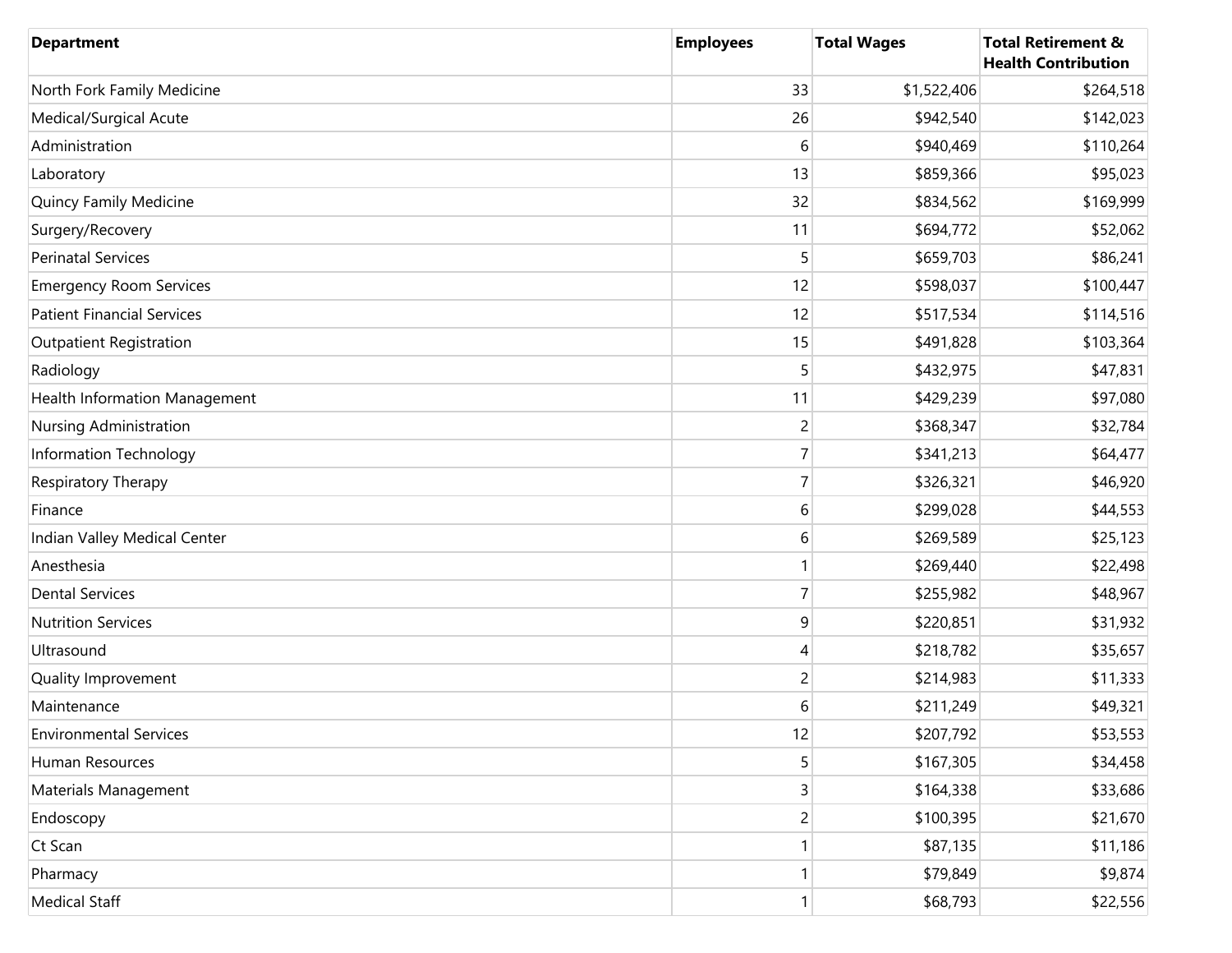| <b>Department</b>                 | <b>Employees</b> | <b>Total Wages</b> | <b>Total Retirement &amp;</b><br><b>Health Contribution</b> |
|-----------------------------------|------------------|--------------------|-------------------------------------------------------------|
| North Fork Family Medicine        | 33               | \$1,522,406        | \$264,518                                                   |
| Medical/Surgical Acute            | 26               | \$942,540          | \$142,023                                                   |
| Administration                    | 6                | \$940,469          | \$110,264                                                   |
| Laboratory                        | 13               | \$859,366          | \$95,023                                                    |
| Quincy Family Medicine            | 32               | \$834,562          | \$169,999                                                   |
| Surgery/Recovery                  | 11               | \$694,772          | \$52,062                                                    |
| <b>Perinatal Services</b>         | 5                | \$659,703          | \$86,241                                                    |
| <b>Emergency Room Services</b>    | 12               | \$598,037          | \$100,447                                                   |
| <b>Patient Financial Services</b> | 12               | \$517,534          | \$114,516                                                   |
| <b>Outpatient Registration</b>    | 15               | \$491,828          | \$103,364                                                   |
| Radiology                         | 5                | \$432,975          | \$47,831                                                    |
| Health Information Management     | 11               | \$429,239          | \$97,080                                                    |
| Nursing Administration            | $\overline{c}$   | \$368,347          | \$32,784                                                    |
| Information Technology            | $\overline{7}$   | \$341,213          | \$64,477                                                    |
| Respiratory Therapy               | $\overline{7}$   | \$326,321          | \$46,920                                                    |
| Finance                           | 6                | \$299,028          | \$44,553                                                    |
| Indian Valley Medical Center      | 6                | \$269,589          | \$25,123                                                    |
| Anesthesia                        | 1                | \$269,440          | \$22,498                                                    |
| <b>Dental Services</b>            | $\overline{7}$   | \$255,982          | \$48,967                                                    |
| <b>Nutrition Services</b>         | 9                | \$220,851          | \$31,932                                                    |
| Ultrasound                        | 4                | \$218,782          | \$35,657                                                    |
| Quality Improvement               | $\overline{c}$   | \$214,983          | \$11,333                                                    |
| Maintenance                       | 6                | \$211,249          | \$49,321                                                    |
| <b>Environmental Services</b>     | 12               | \$207,792          | \$53,553                                                    |
| Human Resources                   | 5                | \$167,305          | \$34,458                                                    |
| Materials Management              | 3                | \$164,338          | \$33,686                                                    |
| Endoscopy                         | $\overline{c}$   | \$100,395          | \$21,670                                                    |
| Ct Scan                           |                  | \$87,135           | \$11,186                                                    |
| Pharmacy                          | 1                | \$79,849           | \$9,874                                                     |
| <b>Medical Staff</b>              | 1                | \$68,793           | \$22,556                                                    |